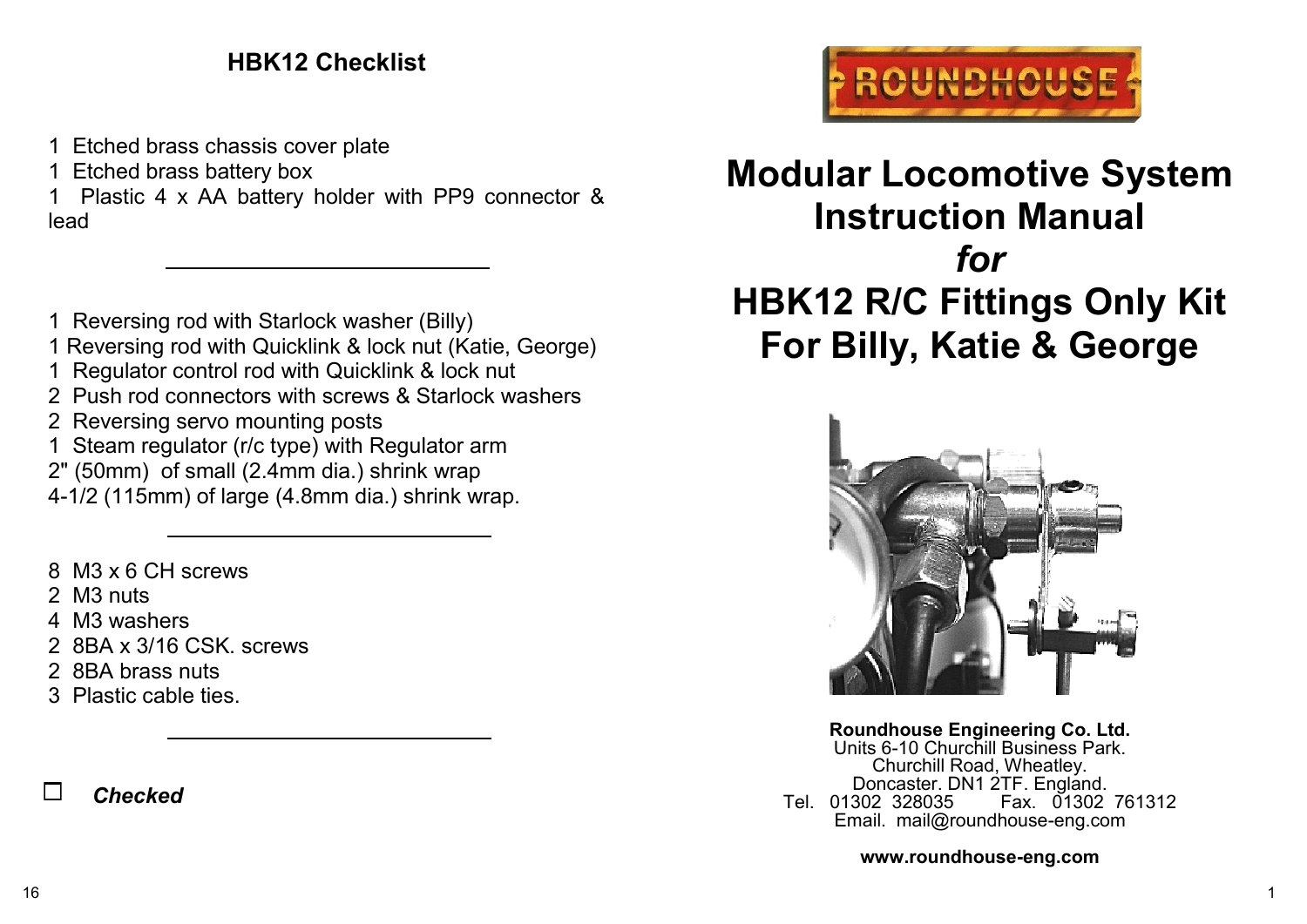# **HBK12 Checklist**

- 1 Etched brass chassis cover plate
- 1 Etched brass battery box
- 1 Plastic 4 x AA battery holder with PP9 connector & lead
- 1 Reversing rod with Starlock washer (Billy)
- 1 Reversing rod with Quicklink & lock nut (Katie, George)
- 1 Regulator control rod with Quicklink & lock nut
- 2 Push rod connectors with screws & Starlock washers
- 2 Reversing servo mounting posts
- 1 Steam regulator (r/c type) with Regulator arm
- 2" (50mm) of small (2.4mm dia.) shrink wrap
- 4-1/2 (115mm) of large (4.8mm dia.) shrink wrap.
- 8 M3 x 6 CH screws
- 2 M3 nuts
- 4 M3 washers
- 2 8BA x 3/16 CSK. screws
- 2 8BA brass nuts
- 3 Plastic cable ties.

 $\Box$ *Checked*



# **Modular Locomotive System Instruction Manual** *for* **HBK12 R/C Fittings Only Kit For Billy, Katie & George**



**Roundhouse Engineering Co. Ltd.** Units 6-10 Churchill Business Park. Churchill Road, Wheatley. Doncaster. DN1 2TF. England.<br>Tel. 01302 328035 Fax. 01302 Fax. 01302 761312 Email. mail@roundhouse-eng.com

**www.roundhouse-eng.com**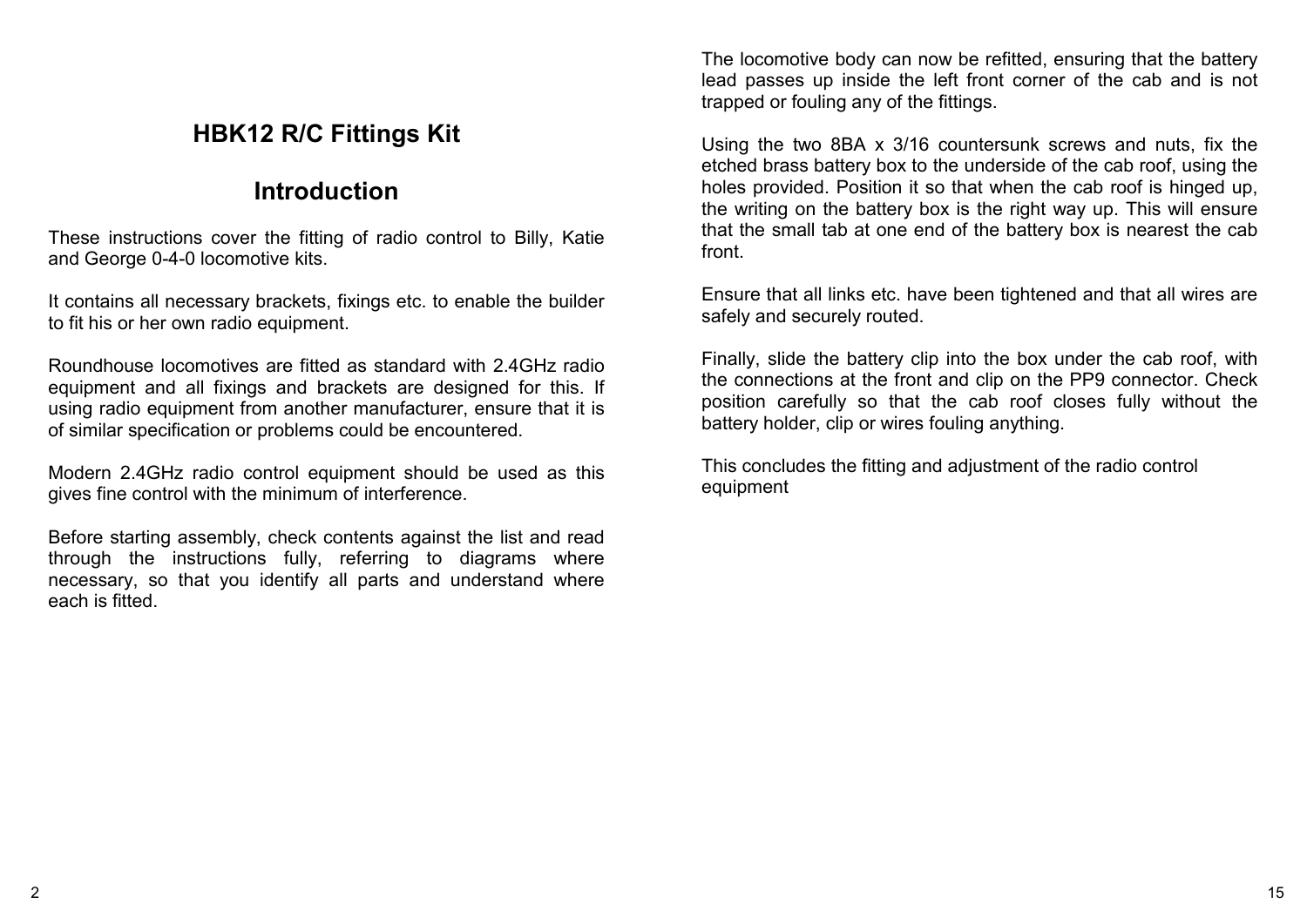## **HBK12 R/C Fittings Kit**

# **Introduction**

These instructions cover the fitting of radio control to Billy, Katie and George 0-4-0 locomotive kits.

It contains all necessary brackets, fixings etc. to enable the builder to fit his or her own radio equipment.

Roundhouse locomotives are fitted as standard with 2.4GHz radio equipment and all fixings and brackets are designed for this. If using radio equipment from another manufacturer, ensure that it is of similar specification or problems could be encountered.

Modern 2.4GHz radio control equipment should be used as this gives fine control with the minimum of interference.

Before starting assembly, check contents against the list and read through the instructions fully, referring to diagrams where necessary, so that you identify all parts and understand where each is fitted.

The locomotive body can now be refitted, ensuring that the battery lead passes up inside the left front corner of the cab and is not trapped or fouling any of the fittings.

Using the two 8BA x 3/16 countersunk screws and nuts, fix the etched brass battery box to the underside of the cab roof, using the holes provided. Position it so that when the cab roof is hinged up, the writing on the battery box is the right way up. This will ensure that the small tab at one end of the battery box is nearest the cab front.

Ensure that all links etc. have been tightened and that all wires are safely and securely routed.

Finally, slide the battery clip into the box under the cab roof, with the connections at the front and clip on the PP9 connector. Check position carefully so that the cab roof closes fully without the battery holder, clip or wires fouling anything.

This concludes the fitting and adjustment of the radio control equipment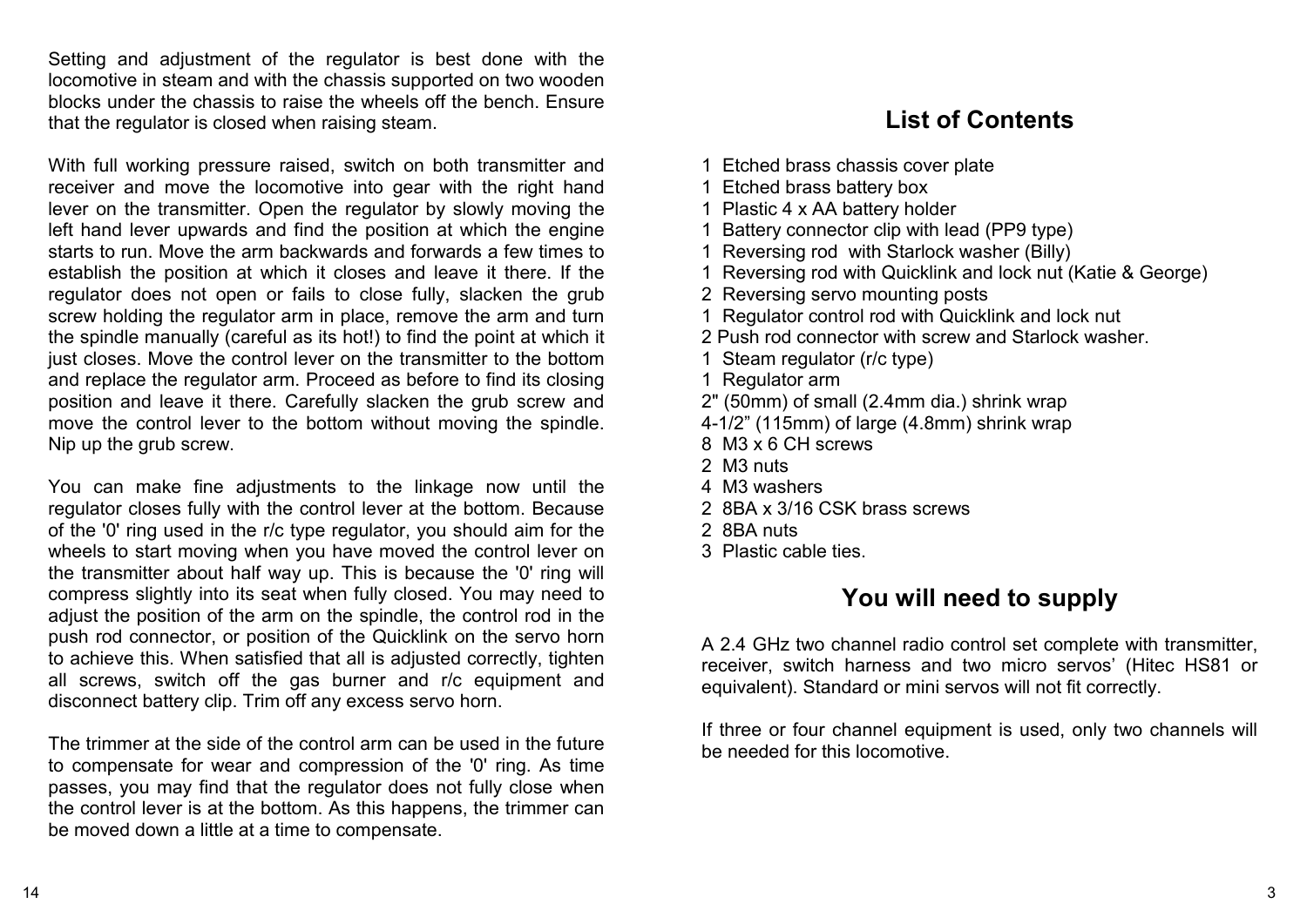Setting and adjustment of the regulator is best done with the locomotive in steam and with the chassis supported on two wooden blocks under the chassis to raise the wheels off the bench. Ensure that the regulator is closed when raising steam.

With full working pressure raised, switch on both transmitter and receiver and move the locomotive into gear with the right hand lever on the transmitter. Open the regulator by slowly moving the left hand lever upwards and find the position at which the engine starts to run. Move the arm backwards and forwards a few times to establish the position at which it closes and leave it there. If the regulator does not open or fails to close fully, slacken the grub screw holding the regulator arm in place, remove the arm and turn the spindle manually (careful as its hot!) to find the point at which it just closes. Move the control lever on the transmitter to the bottom and replace the regulator arm. Proceed as before to find its closing position and leave it there. Carefully slacken the grub screw and move the control lever to the bottom without moving the spindle. Nip up the grub screw.

You can make fine adjustments to the linkage now until the regulator closes fully with the control lever at the bottom. Because of the '0' ring used in the r/c type regulator, you should aim for the wheels to start moving when you have moved the control lever on the transmitter about half way up. This is because the '0' ring will compress slightly into its seat when fully closed. You may need to adjust the position of the arm on the spindle, the control rod in the push rod connector, or position of the Quicklink on the servo horn to achieve this. When satisfied that all is adjusted correctly, tighten all screws, switch off the gas burner and r/c equipment and disconnect battery clip. Trim off any excess servo horn.

The trimmer at the side of the control arm can be used in the future to compensate for wear and compression of the '0' ring. As time passes, you may find that the regulator does not fully close when the control lever is at the bottom. As this happens, the trimmer can be moved down a little at a time to compensate.

## **List of Contents**

- 1 Etched brass chassis cover plate
- 1 Etched brass battery box
- 1 Plastic 4 x AA battery holder
- 1 Battery connector clip with lead (PP9 type)
- 1 Reversing rod with Starlock washer (Billy)
- 1 Reversing rod with Quicklink and lock nut (Katie & George)
- 2 Reversing servo mounting posts
- 1 Regulator control rod with Quicklink and lock nut
- 2 Push rod connector with screw and Starlock washer.
- 1 Steam regulator (r/c type)
- 1 Regulator arm
- 2" (50mm) of small (2.4mm dia.) shrink wrap
- 4-1/2" (115mm) of large (4.8mm) shrink wrap
- 8 M3 x 6 CH screws
- 2 M3 nuts
- 4 M3 washers
- 2 8BA x 3/16 CSK brass screws
- 2 8BA nuts
- 3 Plastic cable ties.

# **You will need to supply**

A 2.4 GHz two channel radio control set complete with transmitter, receiver, switch harness and two micro servos' (Hitec HS81 or equivalent). Standard or mini servos will not fit correctly.

If three or four channel equipment is used, only two channels will be needed for this locomotive.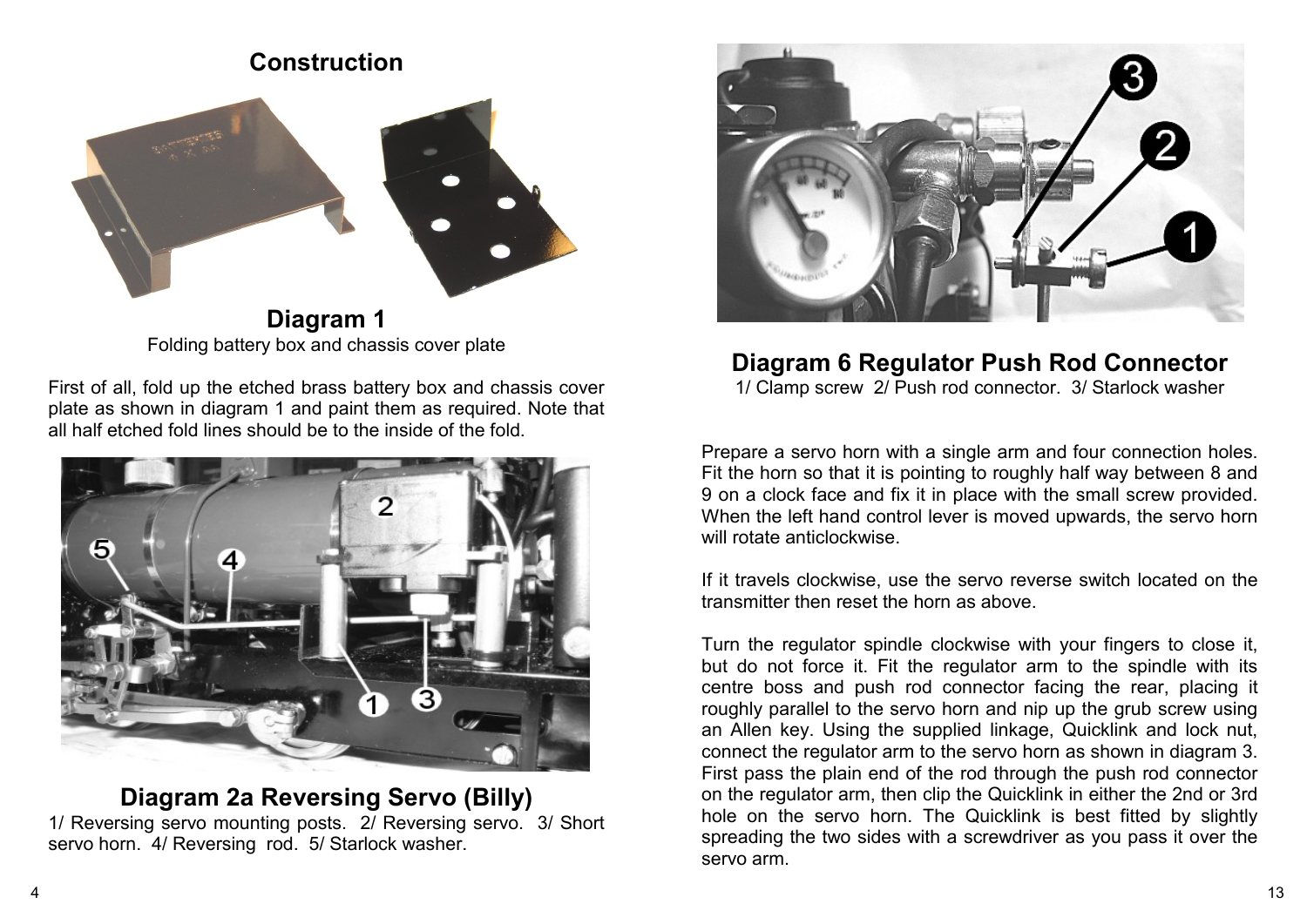## **Construction**



**Diagram 1** Folding battery box and chassis cover plate

First of all, fold up the etched brass battery box and chassis cover plate as shown in diagram 1 and paint them as required. Note that all half etched fold lines should be to the inside of the fold.



#### **Diagram 2a Reversing Servo (Billy)**

1/ Reversing servo mounting posts. 2/ Reversing servo. 3/ Short servo horn. 4/ Reversing rod. 5/ Starlock washer.



#### **Diagram 6 Regulator Push Rod Connector**

1/ Clamp screw 2/ Push rod connector. 3/ Starlock washer

Prepare a servo horn with a single arm and four connection holes. Fit the horn so that it is pointing to roughly half way between 8 and 9 on a clock face and fix it in place with the small screw provided. When the left hand control lever is moved upwards, the servo horn will rotate anticlockwise.

If it travels clockwise, use the servo reverse switch located on the transmitter then reset the horn as above.

Turn the regulator spindle clockwise with your fingers to close it, but do not force it. Fit the regulator arm to the spindle with its centre boss and push rod connector facing the rear, placing it roughly parallel to the servo horn and nip up the grub screw using an Allen key. Using the supplied linkage, Quicklink and lock nut, connect the regulator arm to the servo horn as shown in diagram 3. First pass the plain end of the rod through the push rod connector on the regulator arm, then clip the Quicklink in either the 2nd or 3rd hole on the servo horn. The Quicklink is best fitted by slightly spreading the two sides with a screwdriver as you pass it over the servo arm.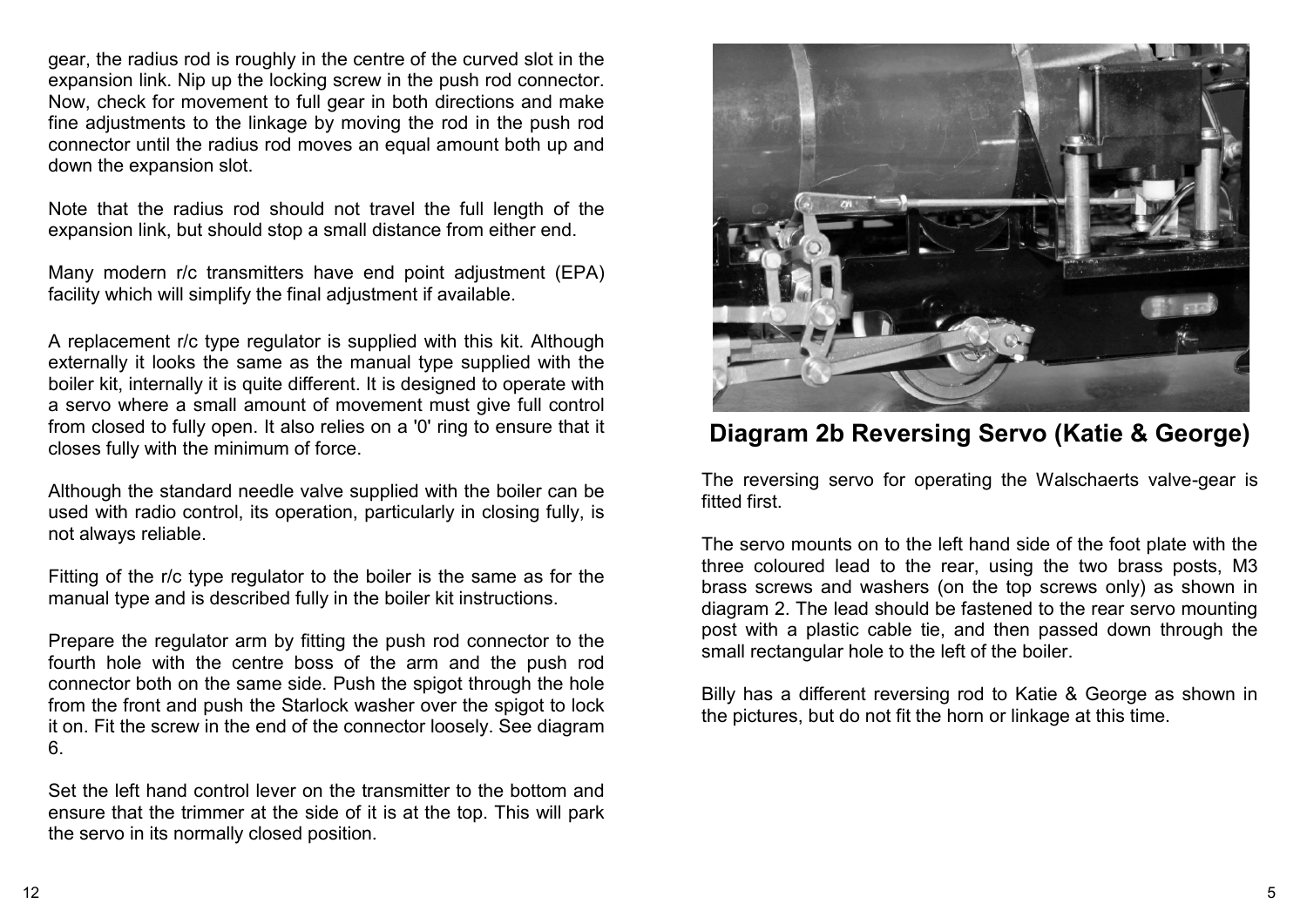gear, the radius rod is roughly in the centre of the curved slot in the expansion link. Nip up the locking screw in the push rod connector. Now, check for movement to full gear in both directions and make fine adjustments to the linkage by moving the rod in the push rod connector until the radius rod moves an equal amount both up and down the expansion slot.

Note that the radius rod should not travel the full length of the expansion link, but should stop a small distance from either end.

Many modern r/c transmitters have end point adjustment (EPA) facility which will simplify the final adjustment if available.

A replacement r/c type regulator is supplied with this kit. Although externally it looks the same as the manual type supplied with the boiler kit, internally it is quite different. It is designed to operate with a servo where a small amount of movement must give full control from closed to fully open. It also relies on a '0' ring to ensure that it closes fully with the minimum of force.

Although the standard needle valve supplied with the boiler can be used with radio control, its operation, particularly in closing fully, is not always reliable.

Fitting of the r/c type regulator to the boiler is the same as for the manual type and is described fully in the boiler kit instructions.

Prepare the regulator arm by fitting the push rod connector to the fourth hole with the centre boss of the arm and the push rod connector both on the same side. Push the spigot through the hole from the front and push the Starlock washer over the spigot to lock it on. Fit the screw in the end of the connector loosely. See diagram 6.

Set the left hand control lever on the transmitter to the bottom and ensure that the trimmer at the side of it is at the top. This will park the servo in its normally closed position.



**Diagram 2b Reversing Servo (Katie & George)**

The reversing servo for operating the Walschaerts valve-gear is fitted first.

The servo mounts on to the left hand side of the foot plate with the three coloured lead to the rear, using the two brass posts, M3 brass screws and washers (on the top screws only) as shown in diagram 2. The lead should be fastened to the rear servo mounting post with a plastic cable tie, and then passed down through the small rectangular hole to the left of the boiler.

Billy has a different reversing rod to Katie & George as shown in the pictures, but do not fit the horn or linkage at this time.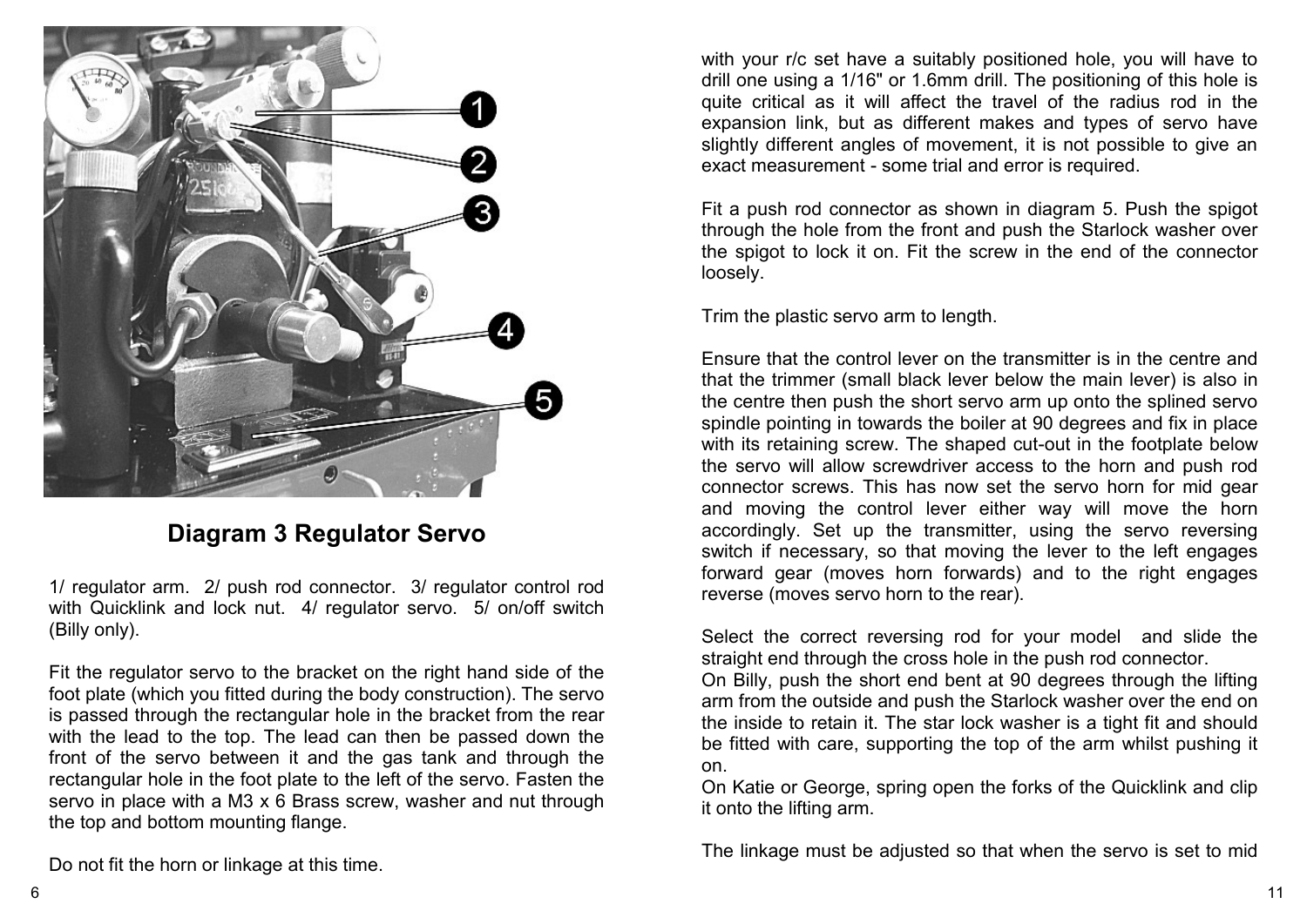

## **Diagram 3 Regulator Servo**

1/ regulator arm. 2/ push rod connector. 3/ regulator control rod with Quicklink and lock nut. 4/ regulator servo. 5/ on/off switch (Billy only).

Fit the regulator servo to the bracket on the right hand side of the foot plate (which you fitted during the body construction). The servo is passed through the rectangular hole in the bracket from the rear with the lead to the top. The lead can then be passed down the front of the servo between it and the gas tank and through the rectangular hole in the foot plate to the left of the servo. Fasten the servo in place with a M3 x 6 Brass screw, washer and nut through the top and bottom mounting flange.

Do not fit the horn or linkage at this time.

with your r/c set have a suitably positioned hole, you will have to drill one using a 1/16" or 1.6mm drill. The positioning of this hole is quite critical as it will affect the travel of the radius rod in the expansion link, but as different makes and types of servo have slightly different angles of movement, it is not possible to give an exact measurement - some trial and error is required.

Fit a push rod connector as shown in diagram 5. Push the spigot through the hole from the front and push the Starlock washer over the spigot to lock it on. Fit the screw in the end of the connector loosely.

Trim the plastic servo arm to length.

Ensure that the control lever on the transmitter is in the centre and that the trimmer (small black lever below the main lever) is also in the centre then push the short servo arm up onto the splined servo spindle pointing in towards the boiler at 90 degrees and fix in place with its retaining screw. The shaped cut-out in the footplate below the servo will allow screwdriver access to the horn and push rod connector screws. This has now set the servo horn for mid gear and moving the control lever either way will move the horn accordingly. Set up the transmitter, using the servo reversing switch if necessary, so that moving the lever to the left engages forward gear (moves horn forwards) and to the right engages reverse (moves servo horn to the rear).

Select the correct reversing rod for your model and slide the straight end through the cross hole in the push rod connector.

On Billy, push the short end bent at 90 degrees through the lifting arm from the outside and push the Starlock washer over the end on the inside to retain it. The star lock washer is a tight fit and should be fitted with care, supporting the top of the arm whilst pushing it on.

On Katie or George, spring open the forks of the Quicklink and clip it onto the lifting arm.

The linkage must be adjusted so that when the servo is set to mid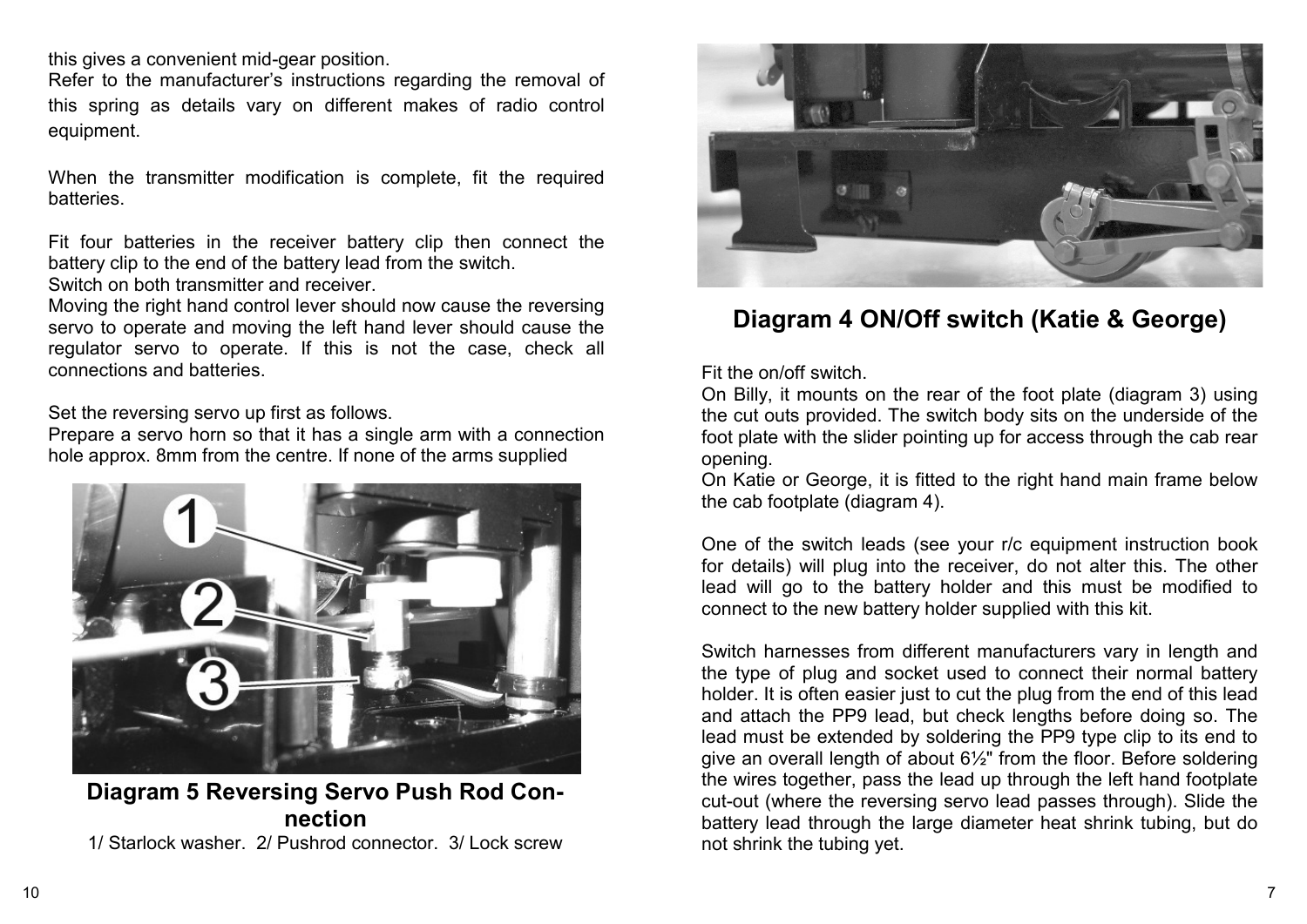this gives a convenient mid-gear position.

Refer to the manufacturer's instructions regarding the removal of this spring as details vary on different makes of radio control equipment.

When the transmitter modification is complete, fit the required batteries.

Fit four batteries in the receiver battery clip then connect the battery clip to the end of the battery lead from the switch. Switch on both transmitter and receiver.

Moving the right hand control lever should now cause the reversing servo to operate and moving the left hand lever should cause the regulator servo to operate. If this is not the case, check all connections and batteries.

Set the reversing servo up first as follows.

Prepare a servo horn so that it has a single arm with a connection hole approx. 8mm from the centre. If none of the arms supplied



#### **Diagram 5 Reversing Servo Push Rod Connection**

1/ Starlock washer. 2/ Pushrod connector. 3/ Lock screw



## **Diagram 4 ON/Off switch (Katie & George)**

Fit the on/off switch.

On Billy, it mounts on the rear of the foot plate (diagram 3) using the cut outs provided. The switch body sits on the underside of the foot plate with the slider pointing up for access through the cab rear opening.

On Katie or George, it is fitted to the right hand main frame below the cab footplate (diagram 4).

One of the switch leads (see your r/c equipment instruction book for details) will plug into the receiver, do not alter this. The other lead will go to the battery holder and this must be modified to connect to the new battery holder supplied with this kit.

Switch harnesses from different manufacturers vary in length and the type of plug and socket used to connect their normal battery holder. It is often easier just to cut the plug from the end of this lead and attach the PP9 lead, but check lengths before doing so. The lead must be extended by soldering the PP9 type clip to its end to give an overall length of about 6½" from the floor. Before soldering the wires together, pass the lead up through the left hand footplate cut-out (where the reversing servo lead passes through). Slide the battery lead through the large diameter heat shrink tubing, but do not shrink the tubing yet.